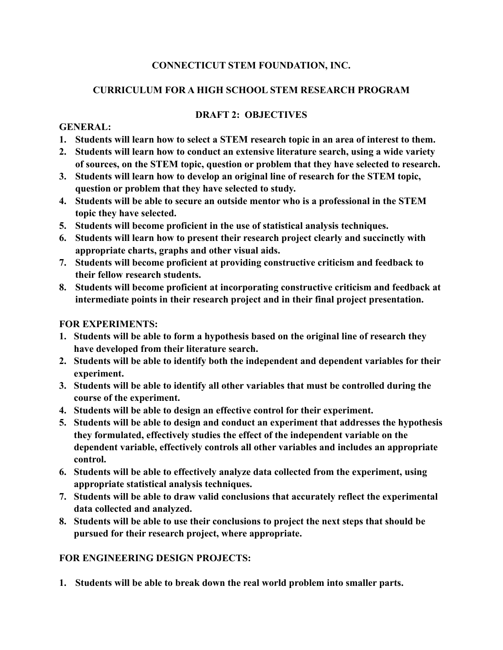## **CONNECTICUT STEM FOUNDATION, INC.**

## **CURRICULUM FOR A HIGH SCHOOL STEM RESEARCH PROGRAM**

## **DRAFT 2: OBJECTIVES**

#### **GENERAL:**

- **1. Students will learn how to select a STEM research topic in an area of interest to them.**
- **2. Students will learn how to conduct an extensive literature search, using a wide variety of sources, on the STEM topic, question or problem that they have selected to research.**
- **3. Students will learn how to develop an original line of research for the STEM topic, question or problem that they have selected to study.**
- **4. Students will be able to secure an outside mentor who is a professional in the STEM topic they have selected.**
- **5. Students will become proficient in the use of statistical analysis techniques.**
- **6. Students will learn how to present their research project clearly and succinctly with appropriate charts, graphs and other visual aids.**
- **7. Students will become proficient at providing constructive criticism and feedback to their fellow research students.**
- **8. Students will become proficient at incorporating constructive criticism and feedback at intermediate points in their research project and in their final project presentation.**

## **FOR EXPERIMENTS:**

- **1. Students will be able to form a hypothesis based on the original line of research they have developed from their literature search.**
- **2. Students will be able to identify both the independent and dependent variables for their experiment.**
- **3. Students will be able to identify all other variables that must be controlled during the course of the experiment.**
- **4. Students will be able to design an effective control for their experiment.**
- **5. Students will be able to design and conduct an experiment that addresses the hypothesis they formulated, effectively studies the effect of the independent variable on the dependent variable, effectively controls all other variables and includes an appropriate control.**
- **6. Students will be able to effectively analyze data collected from the experiment, using appropriate statistical analysis techniques.**
- **7. Students will be able to draw valid conclusions that accurately reflect the experimental data collected and analyzed.**
- **8. Students will be able to use their conclusions to project the next steps that should be pursued for their research project, where appropriate.**

### **FOR ENGINEERING DESIGN PROJECTS:**

**1. Students will be able to break down the real world problem into smaller parts.**